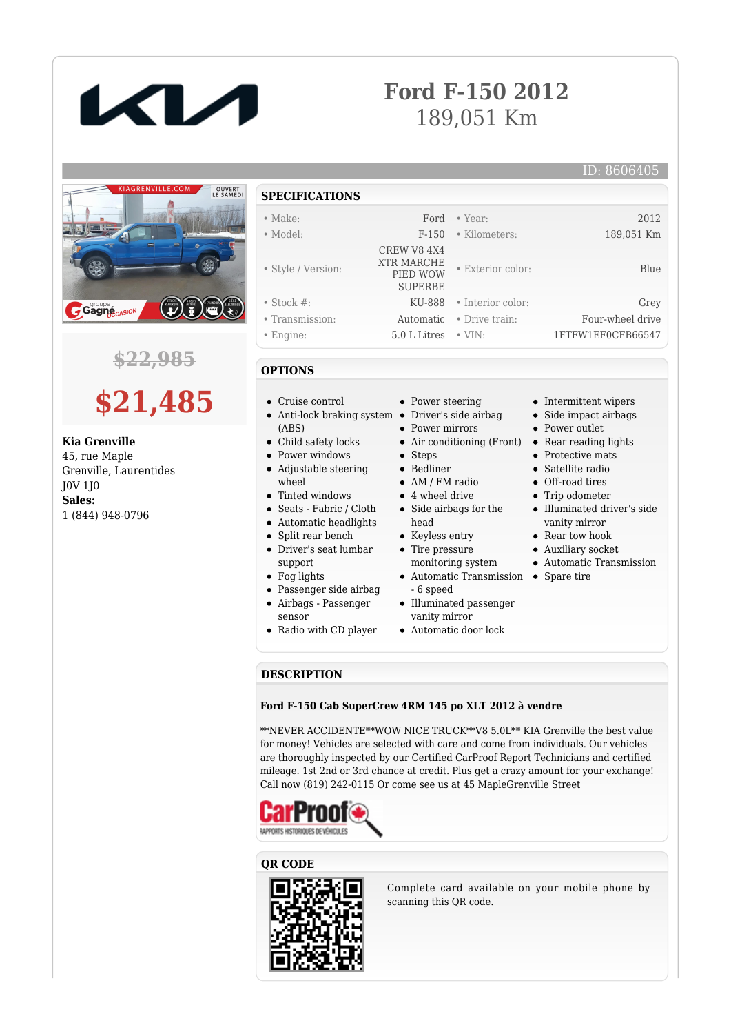

## **Ford F-150 2012** 189,051 Km

#### ID: 8606405



### **\$22,985**

# **\$21,485**

**Kia Grenville** 45, rue Maple Grenville, Laurentides J0V 1J0 **Sales:** 1 (844) 948-0796

- **SPECIFICATIONS**
- Make: Ford Year: 2012
- Model: F-150 Kilometers: 189,051 Km
- Style / Version:
- 
- Stock #: KU-888 Interior color: Grey
- Transmission: Automatic Drive train: Four-wheel drive
- Engine: 5.0 L Litres VIN: 1FTFW1EF0CFB66547
- **OPTIONS**
- Cruise control
- (ABS)
- Child safety locks
- Power windows
- Adjustable steering
- wheel Tinted windows
- Seats Fabric / Cloth
- Automatic headlights
- Split rear bench
- Driver's seat lumbar support
- Fog lights
- 
- Passenger side airbag
- Airbags Passenger sensor
- Radio with CD player
- Power steering
- 
- 
- Air conditioning (Front)
- 
- 
- 
- 
- head
- 
- monitoring system
- Automatic Transmission Spare tire
- Illuminated passenger
- 
- Automatic door lock

• Intermittent wipers Side impact airbags

• Exterior color: Blue

- Power outlet
- Rear reading lights
- Protective mats
- Satellite radio
- Off-road tires
- Trip odometer Illuminated driver's side
- vanity mirror • Rear tow hook
- Auxiliary socket
- Automatic Transmission
- 
- 

#### **DESCRIPTION**

#### **Ford F-150 Cab SuperCrew 4RM 145 po XLT 2012 à vendre**

\*\*NEVER ACCIDENTE\*\*WOW NICE TRUCK\*\*V8 5.0L\*\* KIA Grenville the best value for money! Vehicles are selected with care and come from individuals. Our vehicles are thoroughly inspected by our Certified CarProof Report Technicians and certified mileage. 1st 2nd or 3rd chance at credit. Plus get a crazy amount for your exchange! Call now (819) 242-0115 Or come see us at 45 MapleGrenville Street



#### **QR CODE**



Complete card available on your mobile phone by scanning this QR code.

Bedliner AM / FM radio 4 wheel drive

## Side airbags for the

- 
- Tire pressure
- 
- 6 speed
- vanity mirror
	-
- Keyless entry
- 
- 



 CREW V8 4X4 XTR MARCHE PIED WOW SUPERBE